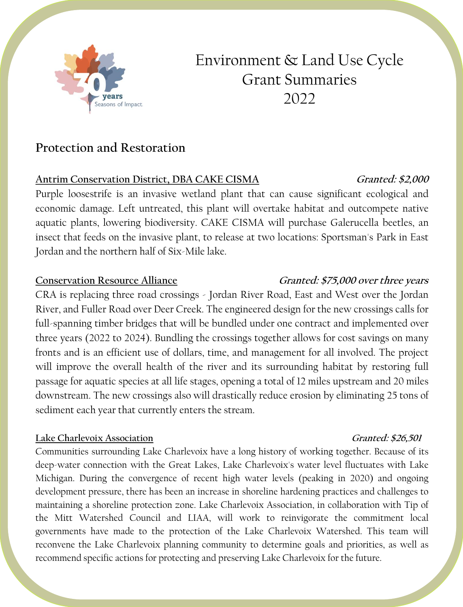

# Environment & Land Use Cycle Grant Summaries 2022

# **Protection and Restoration**

# **Antrim Conservation District, DBA CAKE CISMA Granted: \$2,000**

Purple loosestrife is an invasive wetland plant that can cause significant ecological and economic damage. Left untreated, this plant will overtake habitat and outcompete native aquatic plants, lowering biodiversity. CAKE CISMA will purchase Galerucella beetles, an insect that feeds on the invasive plant, to release at two locations: Sportsman's Park in East Jordan and the northern half of Six-Mile lake.

CRA is replacing three road crossings - Jordan River Road, East and West over the Jordan River, and Fuller Road over Deer Creek. The engineered design for the new crossings calls for full-spanning timber bridges that will be bundled under one contract and implemented over three years (2022 to 2024). Bundling the crossings together allows for cost savings on many fronts and is an efficient use of dollars, time, and management for all involved. The project will improve the overall health of the river and its surrounding habitat by restoring full passage for aquatic species at all life stages, opening a total of 12 miles upstream and 20 miles downstream. The new crossings also will drastically reduce erosion by eliminating 25 tons of sediment each year that currently enters the stream.

### **Lake Charlevoix Association Granted: \$26,501**

Communities surrounding Lake Charlevoix have a long history of working together. Because of its deep-water connection with the Great Lakes, Lake Charlevoix's water level fluctuates with Lake Michigan. During the convergence of recent high water levels (peaking in 2020) and ongoing development pressure, there has been an increase in shoreline hardening practices and challenges to maintaining a shoreline protection zone. Lake Charlevoix Association, in collaboration with Tip of the Mitt Watershed Council and LIAA, will work to reinvigorate the commitment local governments have made to the protection of the Lake Charlevoix Watershed. This team will reconvene the Lake Charlevoix planning community to determine goals and priorities, as well as recommend specific actions for protecting and preserving Lake Charlevoix for the future.

# **Conservation Resource Alliance Granted: \$75,000 over three years**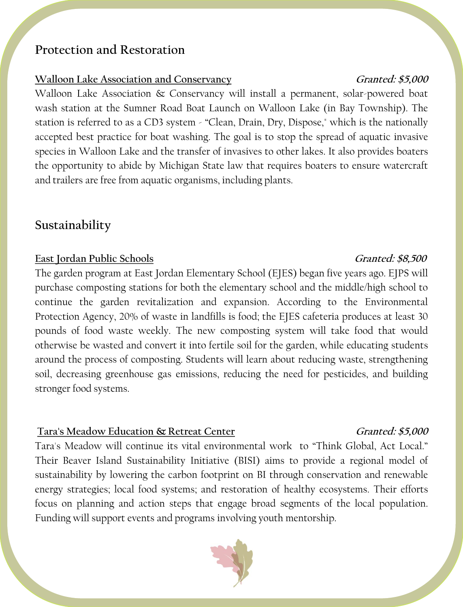# **Protection and Restoration**

## **Walloon Lake Association and Conservancy Granted: \$5,000**

Walloon Lake Association & Conservancy will install a permanent, solar-powered boat wash station at the Sumner Road Boat Launch on Walloon Lake (in Bay Township). The station is referred to as a CD3 system - "Clean, Drain, Dry, Dispose," which is the nationally accepted best practice for boat washing. The goal is to stop the spread of aquatic invasive species in Walloon Lake and the transfer of invasives to other lakes. It also provides boaters the opportunity to abide by Michigan State law that requires boaters to ensure watercraft and trailers are free from aquatic organisms, including plants.

# **Sustainability**

# **East Jordan Public Schools Granted: \$8,500**

The garden program at East Jordan Elementary School (EJES) began five years ago. EJPS will purchase composting stations for both the elementary school and the middle/high school to continue the garden revitalization and expansion. According to the Environmental Protection Agency, 20% of waste in landfills is food; the EJES cafeteria produces at least 30 pounds of food waste weekly. The new composting system will take food that would otherwise be wasted and convert it into fertile soil for the garden, while educating students around the process of composting. Students will learn about reducing waste, strengthening soil, decreasing greenhouse gas emissions, reducing the need for pesticides, and building stronger food systems.

### Tara's Meadow Education & Retreat Center **Granted: \$5,000**

Tara's Meadow will continue its vital environmental work to "Think Global, Act Local." Their Beaver Island Sustainability Initiative (BISI) aims to provide a regional model of sustainability by lowering the carbon footprint on BI through conservation and renewable energy strategies; local food systems; and restoration of healthy ecosystems. Their efforts focus on planning and action steps that engage broad segments of the local population. Funding will support events and programs involving youth mentorship.